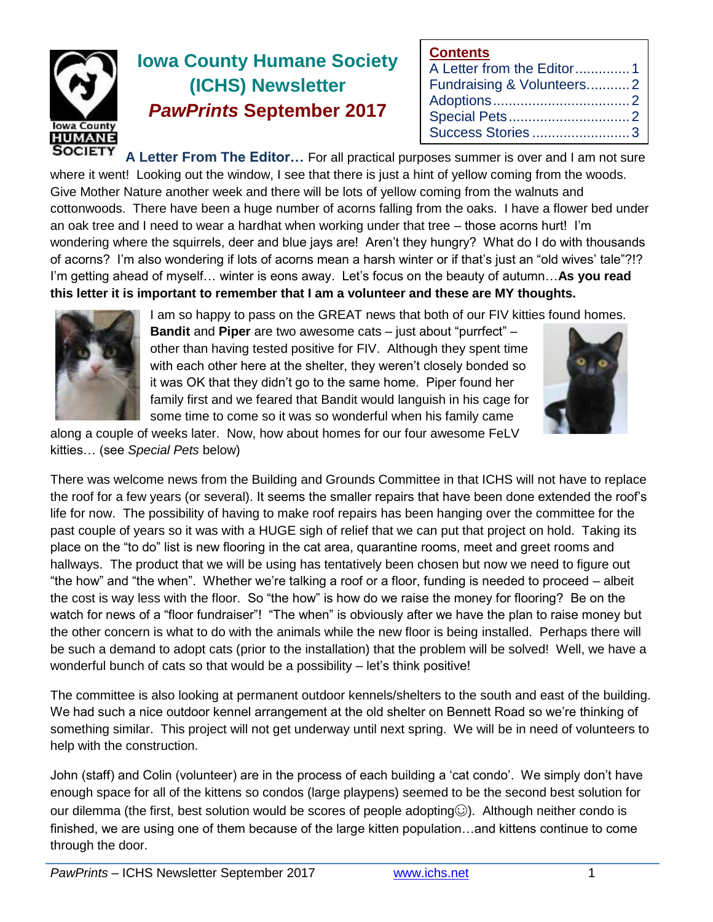

# **Iowa County Humane Society (ICHS) Newsletter** *PawPrints* **September 2017**

| <b>Contents</b>           |  |
|---------------------------|--|
| A Letter from the Editor1 |  |
| Fundraising & Volunteers2 |  |
|                           |  |
|                           |  |
| Success Stories3          |  |

**A Letter From The Editor…** For all practical purposes summer is over and I am not sure where it went! Looking out the window, I see that there is just a hint of yellow coming from the woods. Give Mother Nature another week and there will be lots of yellow coming from the walnuts and cottonwoods. There have been a huge number of acorns falling from the oaks. I have a flower bed under an oak tree and I need to wear a hardhat when working under that tree – those acorns hurt! I'm wondering where the squirrels, deer and blue jays are! Aren't they hungry? What do I do with thousands of acorns? I'm also wondering if lots of acorns mean a harsh winter or if that's just an "old wives' tale"?!? I'm getting ahead of myself… winter is eons away. Let's focus on the beauty of autumn…**As you read this letter it is important to remember that I am a volunteer and these are MY thoughts.**



I am so happy to pass on the GREAT news that both of our FIV kitties found homes. **Bandit** and **Piper** are two awesome cats – just about "purrfect" – other than having tested positive for FIV. Although they spent time with each other here at the shelter, they weren't closely bonded so it was OK that they didn't go to the same home. Piper found her family first and we feared that Bandit would languish in his cage for some time to come so it was so wonderful when his family came

along a couple of weeks later. Now, how about homes for our four awesome FeLV kitties… (see *Special Pets* below)



There was welcome news from the Building and Grounds Committee in that ICHS will not have to replace the roof for a few years (or several). It seems the smaller repairs that have been done extended the roof's life for now. The possibility of having to make roof repairs has been hanging over the committee for the past couple of years so it was with a HUGE sigh of relief that we can put that project on hold. Taking its place on the "to do" list is new flooring in the cat area, quarantine rooms, meet and greet rooms and hallways. The product that we will be using has tentatively been chosen but now we need to figure out "the how" and "the when". Whether we're talking a roof or a floor, funding is needed to proceed – albeit the cost is way less with the floor. So "the how" is how do we raise the money for flooring? Be on the watch for news of a "floor fundraiser"! "The when" is obviously after we have the plan to raise money but the other concern is what to do with the animals while the new floor is being installed. Perhaps there will be such a demand to adopt cats (prior to the installation) that the problem will be solved! Well, we have a wonderful bunch of cats so that would be a possibility – let's think positive!

The committee is also looking at permanent outdoor kennels/shelters to the south and east of the building. We had such a nice outdoor kennel arrangement at the old shelter on Bennett Road so we're thinking of something similar. This project will not get underway until next spring. We will be in need of volunteers to help with the construction.

John (staff) and Colin (volunteer) are in the process of each building a 'cat condo'. We simply don't have enough space for all of the kittens so condos (large playpens) seemed to be the second best solution for our dilemma (the first, best solution would be scores of people adopting.). Although neither condo is finished, we are using one of them because of the large kitten population…and kittens continue to come through the door.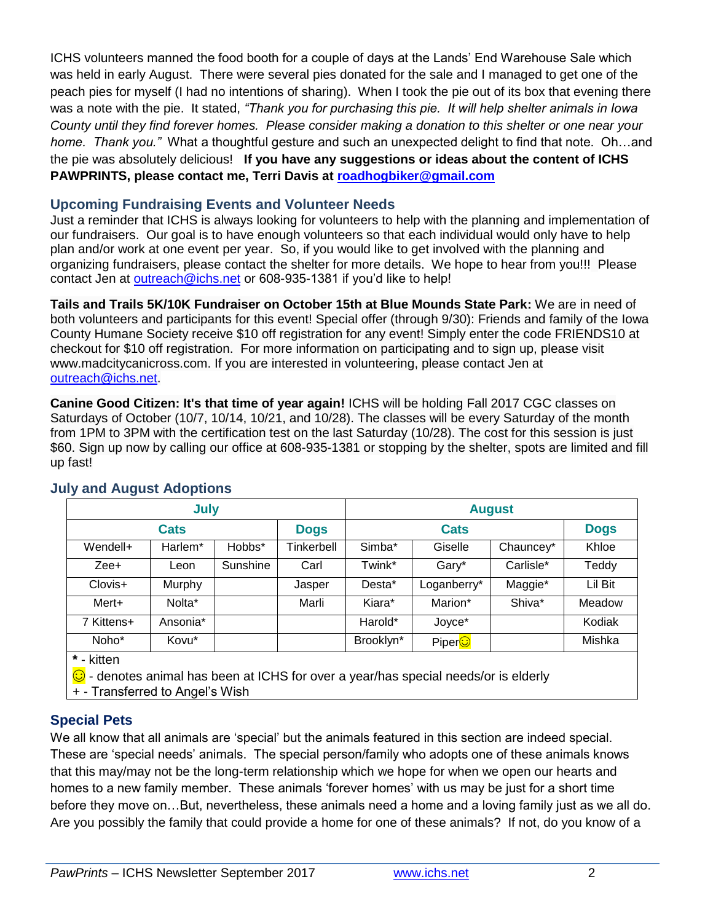ICHS volunteers manned the food booth for a couple of days at the Lands' End Warehouse Sale which was held in early August. There were several pies donated for the sale and I managed to get one of the peach pies for myself (I had no intentions of sharing). When I took the pie out of its box that evening there was a note with the pie. It stated, *"Thank you for purchasing this pie. It will help shelter animals in Iowa County until they find forever homes. Please consider making a donation to this shelter or one near your home. Thank you."* What a thoughtful gesture and such an unexpected delight to find that note. Oh…and the pie was absolutely delicious! **If you have any suggestions or ideas about the content of ICHS PAWPRINTS, please contact me, Terri Davis at [roadhogbiker@gmail.com](mailto:roadhogbiker@gmail.com)**

#### **Upcoming Fundraising Events and Volunteer Needs**

Just a reminder that ICHS is always looking for volunteers to help with the planning and implementation of our fundraisers. Our goal is to have enough volunteers so that each individual would only have to help plan and/or work at one event per year. So, if you would like to get involved with the planning and organizing fundraisers, please contact the shelter for more details. We hope to hear from you!!! Please contact Jen at [outreach@ichs.net](mailto:outreach@ichs.net) or 608-935-1381 if you'd like to help!

**Tails and Trails 5K/10K Fundraiser on October 15th at Blue Mounds State Park:** We are in need of both volunteers and participants for this event! Special offer (through 9/30): Friends and family of the Iowa County Humane Society receive \$10 off registration for any event! Simply enter the code FRIENDS10 at checkout for \$10 off registration. For more information on participating and to sign up, please visit www.madcitycanicross.com. If you are interested in volunteering, please contact Jen at [outreach@ichs.net.](mailto:outreach@ichs.net)

**Canine Good Citizen: It's that time of year again!** ICHS will be holding Fall 2017 CGC classes on Saturdays of October (10/7, 10/14, 10/21, and 10/28). The classes will be every Saturday of the month from 1PM to 3PM with the certification test on the last Saturday (10/28). The cost for this session is just \$60. Sign up now by calling our office at 608-935-1381 or stopping by the shelter, spots are limited and fill up fast!

| July        |          |          |             | <b>August</b> |             |           |             |
|-------------|----------|----------|-------------|---------------|-------------|-----------|-------------|
| <b>Cats</b> |          |          | <b>Dogs</b> | <b>Cats</b>   |             |           | <b>Dogs</b> |
| Wendell+    | Harlem*  | Hobbs*   | Tinkerbell  | Simba*        | Giselle     | Chauncey* | Khloe       |
| Zee+        | Leon     | Sunshine | Carl        | Twink*        | Gary*       | Carlisle* | Teddy       |
| Clovis+     | Murphy   |          | Jasper      | Desta*        | Loganberry* | Maggie*   | Lil Bit     |
| Mert+       | Nolta*   |          | Marli       | Kiara*        | Marion*     | Shiva*    | Meadow      |
| 7 Kittens+  | Ansonia* |          |             | Harold*       | Joyce*      |           | Kodiak      |
| Noho*       | Kovu*    |          |             | Brooklyn*     | PiperO      |           | Mishka      |
| * - kitten  |          |          |             |               |             |           |             |

#### **July and August Adoptions**

**\*** - kitten

© - denotes animal has been at ICHS for over a year/has special needs/or is elderly

+ - Transferred to Angel's Wish

## **Special Pets**

We all know that all animals are 'special' but the animals featured in this section are indeed special. These are 'special needs' animals. The special person/family who adopts one of these animals knows that this may/may not be the long-term relationship which we hope for when we open our hearts and homes to a new family member. These animals 'forever homes' with us may be just for a short time before they move on…But, nevertheless, these animals need a home and a loving family just as we all do. Are you possibly the family that could provide a home for one of these animals? If not, do you know of a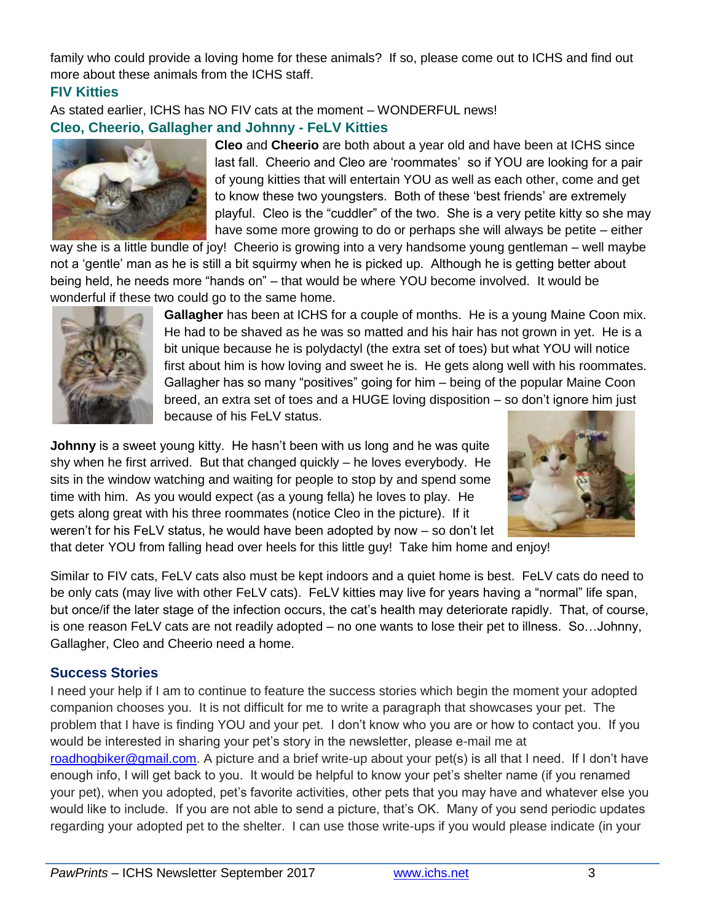family who could provide a loving home for these animals? If so, please come out to ICHS and find out more about these animals from the ICHS staff.

## **FIV Kitties**

As stated earlier, ICHS has NO FIV cats at the moment – WONDERFUL news!

## **Cleo, Cheerio, Gallagher and Johnny - FeLV Kitties**



**Cleo** and **Cheerio** are both about a year old and have been at ICHS since last fall. Cheerio and Cleo are 'roommates' so if YOU are looking for a pair of young kitties that will entertain YOU as well as each other, come and get to know these two youngsters. Both of these 'best friends' are extremely playful. Cleo is the "cuddler" of the two. She is a very petite kitty so she may have some more growing to do or perhaps she will always be petite – either

way she is a little bundle of joy! Cheerio is growing into a very handsome young gentleman – well maybe not a 'gentle' man as he is still a bit squirmy when he is picked up. Although he is getting better about being held, he needs more "hands on" – that would be where YOU become involved. It would be wonderful if these two could go to the same home.



**Gallagher** has been at ICHS for a couple of months. He is a young Maine Coon mix. He had to be shaved as he was so matted and his hair has not grown in yet. He is a bit unique because he is polydactyl (the extra set of toes) but what YOU will notice first about him is how loving and sweet he is. He gets along well with his roommates. Gallagher has so many "positives" going for him – being of the popular Maine Coon breed, an extra set of toes and a HUGE loving disposition – so don't ignore him just because of his FeLV status.

**Johnny** is a sweet young kitty. He hasn't been with us long and he was quite shy when he first arrived. But that changed quickly – he loves everybody. He sits in the window watching and waiting for people to stop by and spend some time with him. As you would expect (as a young fella) he loves to play. He gets along great with his three roommates (notice Cleo in the picture). If it weren't for his FeLV status, he would have been adopted by now – so don't let



that deter YOU from falling head over heels for this little guy! Take him home and enjoy!

Similar to FIV cats, FeLV cats also must be kept indoors and a quiet home is best. FeLV cats do need to be only cats (may live with other FeLV cats). FeLV kitties may live for years having a "normal" life span, but once/if the later stage of the infection occurs, the cat's health may deteriorate rapidly. That, of course, is one reason FeLV cats are not readily adopted – no one wants to lose their pet to illness. So…Johnny, Gallagher, Cleo and Cheerio need a home.

## **Success Stories**

I need your help if I am to continue to feature the success stories which begin the moment your adopted companion chooses you. It is not difficult for me to write a paragraph that showcases your pet. The problem that I have is finding YOU and your pet. I don't know who you are or how to contact you. If you would be interested in sharing your pet's story in the newsletter, please e-mail me at [roadhogbiker@gmail.com.](mailto:roadhogbiker@gmail.com) A picture and a brief write-up about your pet(s) is all that I need. If I don't have enough info, I will get back to you. It would be helpful to know your pet's shelter name (if you renamed your pet), when you adopted, pet's favorite activities, other pets that you may have and whatever else you would like to include. If you are not able to send a picture, that's OK. Many of you send periodic updates regarding your adopted pet to the shelter. I can use those write-ups if you would please indicate (in your